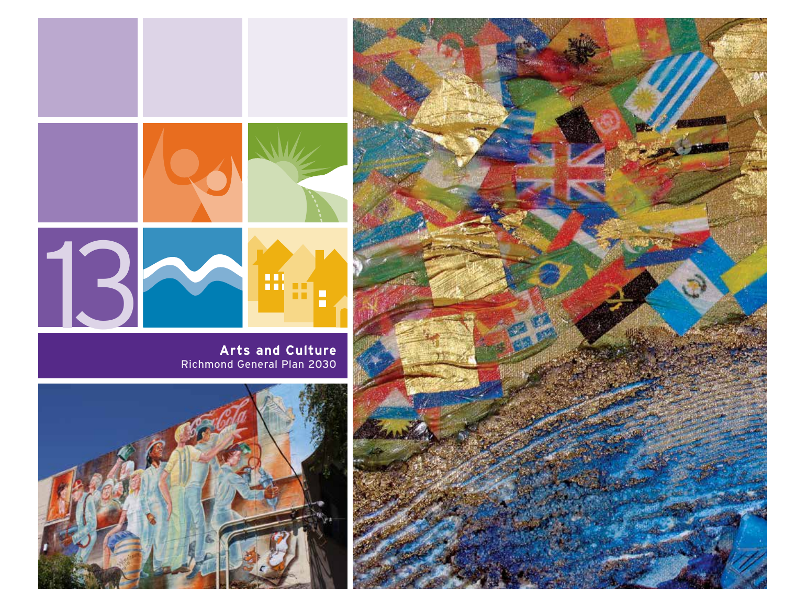

**Arts and Culture** Richmond General Plan 2030



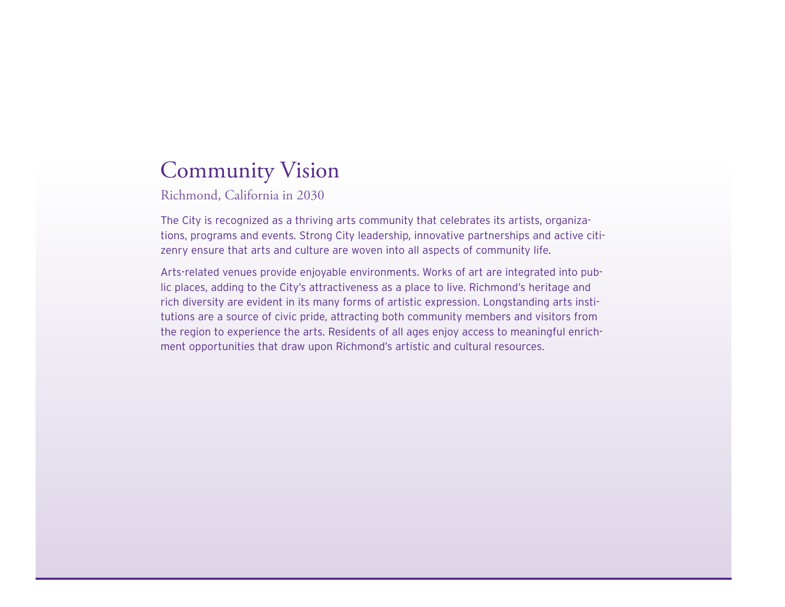# Community Vision

Richmond, California in 2030

The City is recognized as a thriving arts community that celebrates its artists, organizations, programs and events. Strong City leadership, innovative partnerships and active citizenry ensure that arts and culture are woven into all aspects of community life.

Arts-related venues provide enjoyable environments. Works of art are integrated into public places, adding to the City's attractiveness as a place to live. Richmond's heritage and rich diversity are evident in its many forms of artistic expression. Longstanding arts institutions are a source of civic pride, attracting both community members and visitors from the region to experience the arts. Residents of all ages enjoy access to meaningful enrichment opportunities that draw upon Richmond's artistic and cultural resources.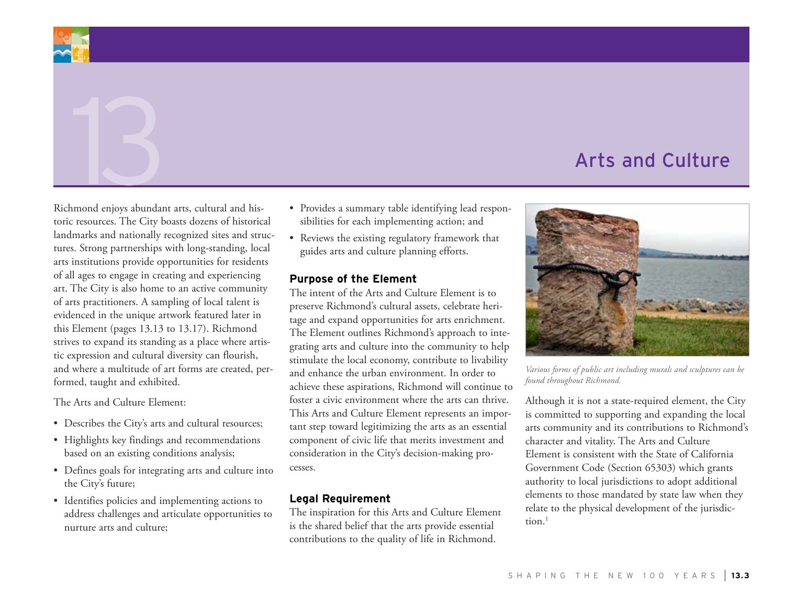

Richmond enjoys abundant arts, cultural and historic resources. The City boasts dozens of historical landmarks and nationally recognized sites and structures. Strong partnerships with long-standing, local arts institutions provide opportunities for residents of all ages to engage in creating and experiencing art. The City is also home to an active community of arts practitioners. A sampling of local talent is evidenced in the unique artwork featured later in this Element (pages 13.13 to 13.17). Richmond strives to expand its standing as a place where artistic expression and cultural diversity can flourish, and where a multitude of art forms are created, performed, taught and exhibited.

The Arts and Culture Element:

- Describes the City's arts and cultural resources;
- • Highlights key findings and recommendations based on an existing conditions analysis;
- Defines goals for integrating arts and culture into the City's future;
- Identifies policies and implementing actions to address challenges and articulate opportunities to nurture arts and culture;
- • Provides a summary table identifying lead responsibilities for each implementing action; and
- • Reviews the existing regulatory framework that guides arts and culture planning efforts.

#### **Purpose of the Element**

The intent of the Arts and Culture Element is to preserve Richmond's cultural assets, celebrate heritage and expand opportunities for arts enrichment. The Element outlines Richmond's approach to integrating arts and culture into the community to help stimulate the local economy, contribute to livability and enhance the urban environment. In order to achieve these aspirations, Richmond will continue to foster a civic environment where the arts can thrive. This Arts and Culture Element represents an important step toward legitimizing the arts as an essential component of civic life that merits investment and consideration in the City's decision-making processes.

#### **Legal Requirement**

The inspiration for this Arts and Culture Element is the shared belief that the arts provide essential contributions to the quality of life in Richmond.



*Various forms of public art including murals and sculptures can be found throughout Richmond.*

Although it is not a state-required element, the City is committed to supporting and expanding the local arts community and its contributions to Richmond's character and vitality. The Arts and Culture Element is consistent with the State of California Government Code (Section 65303) which grants authority to local jurisdictions to adopt additional elements to those mandated by state law when they relate to the physical development of the jurisdic $tion<sup>1</sup>$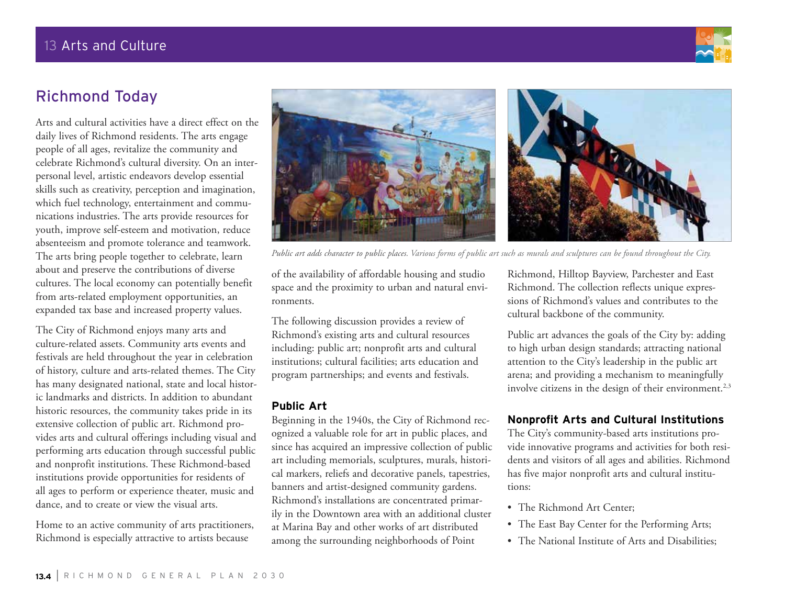

## Richmond Today

Arts and cultural activities have a direct effect on the daily lives of Richmond residents. The arts engage people of all ages, revitalize the community and celebrate Richmond's cultural diversity. On an interpersonal level, artistic endeavors develop essential skills such as creativity, perception and imagination, which fuel technology, entertainment and communications industries. The arts provide resources for youth, improve self-esteem and motivation, reduce absenteeism and promote tolerance and teamwork. The arts bring people together to celebrate, learn about and preserve the contributions of diverse cultures. The local economy can potentially benefit from arts-related employment opportunities, an expanded tax base and increased property values.

The City of Richmond enjoys many arts and culture-related assets. Community arts events and festivals are held throughout the year in celebration of history, culture and arts-related themes. The City has many designated national, state and local historic landmarks and districts. In addition to abundant historic resources, the community takes pride in its extensive collection of public art. Richmond provides arts and cultural offerings including visual and performing arts education through successful public and nonprofit institutions. These Richmond-based institutions provide opportunities for residents of all ages to perform or experience theater, music and dance, and to create or view the visual arts.

Home to an active community of arts practitioners, Richmond is especially attractive to artists because



*Public art adds character to public places. Various forms of public art such as murals and sculptures can be found throughout the City.*

of the availability of affordable housing and studio space and the proximity to urban and natural environments.

The following discussion provides a review of Richmond's existing arts and cultural resources including: public art; nonprofit arts and cultural institutions; cultural facilities; arts education and program partnerships; and events and festivals.

### **Public Art**

Beginning in the 1940s, the City of Richmond recognized a valuable role for art in public places, and since has acquired an impressive collection of public art including memorials, sculptures, murals, historical markers, reliefs and decorative panels, tapestries, banners and artist-designed community gardens. Richmond's installations are concentrated primarily in the Downtown area with an additional cluster at Marina Bay and other works of art distributed among the surrounding neighborhoods of Point

Richmond, Hilltop Bayview, Parchester and East Richmond. The collection reflects unique expressions of Richmond's values and contributes to the cultural backbone of the community.

Public art advances the goals of the City by: adding to high urban design standards; attracting national attention to the City's leadership in the public art arena; and providing a mechanism to meaningfully involve citizens in the design of their environment.<sup>2,3</sup>

## **Nonprofit Arts and Cultural Institutions**

The City's community-based arts institutions provide innovative programs and activities for both residents and visitors of all ages and abilities. Richmond has five major nonprofit arts and cultural institutions:

- The Richmond Art Center;
- The East Bay Center for the Performing Arts;
- The National Institute of Arts and Disabilities;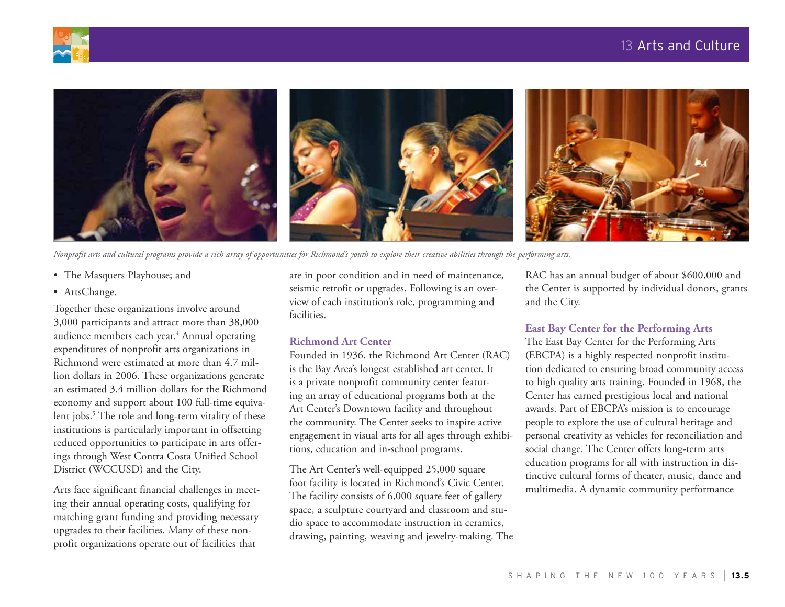



*Nonprofit arts and cultural programs provide a rich array of opportunities for Richmond's youth to explore their creative abilities through the performing arts.*

- The Masquers Playhouse; and
- ArtsChange.

Together these organizations involve around 3,000 participants and attract more than 38,000 audience members each year.<sup>4</sup> Annual operating expenditures of nonprofit arts organizations in Richmond were estimated at more than 4.7 million dollars in 2006. These organizations generate an estimated 3.4 million dollars for the Richmond economy and support about 100 full-time equivalent jobs.5 The role and long-term vitality of these institutions is particularly important in offsetting reduced opportunities to participate in arts offerings through West Contra Costa Unified School District (WCCUSD) and the City.

Arts face significant financial challenges in meeting their annual operating costs, qualifying for matching grant funding and providing necessary upgrades to their facilities. Many of these nonprofit organizations operate out of facilities that

are in poor condition and in need of maintenance, seismic retrofit or upgrades. Following is an overview of each institution's role, programming and facilities.

#### **Richmond Art Center**

Founded in 1936, the Richmond Art Center (RAC) is the Bay Area's longest established art center. It is a private nonprofit community center featuring an array of educational programs both at the Art Center's Downtown facility and throughout the community. The Center seeks to inspire active engagement in visual arts for all ages through exhibitions, education and in-school programs.

The Art Center's well-equipped 25,000 square foot facility is located in Richmond's Civic Center. The facility consists of 6,000 square feet of gallery space, a sculpture courtyard and classroom and studio space to accommodate instruction in ceramics, drawing, painting, weaving and jewelry-making. The RAC has an annual budget of about \$600,000 and the Center is supported by individual donors, grants and the City.

#### **East Bay Center for the Performing Arts**

The East Bay Center for the Performing Arts (EBCPA) is a highly respected nonprofit institution dedicated to ensuring broad community access to high quality arts training. Founded in 1968, the Center has earned prestigious local and national awards. Part of EBCPA's mission is to encourage people to explore the use of cultural heritage and personal creativity as vehicles for reconciliation and social change. The Center offers long-term arts education programs for all with instruction in distinctive cultural forms of theater, music, dance and multimedia. A dynamic community performance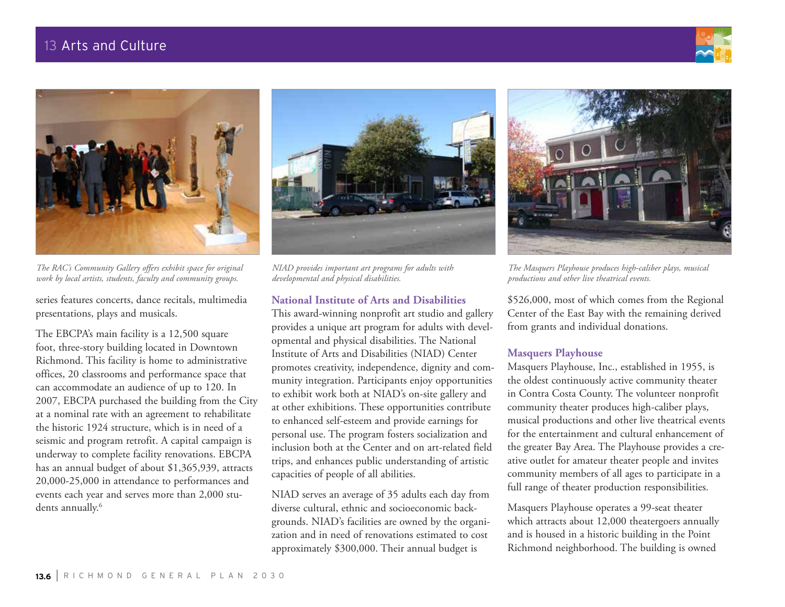



*The RAC's Community Gallery offers exhibit space for original work by local artists, students, faculty and community groups.*

series features concerts, dance recitals, multimedia presentations, plays and musicals.

The EBCPA's main facility is a 12,500 square foot, three-story building located in Downtown Richmond. This facility is home to administrative offices, 20 classrooms and performance space that can accommodate an audience of up to 120. In 2007, EBCPA purchased the building from the City at a nominal rate with an agreement to rehabilitate the historic 1924 structure, which is in need of a seismic and program retrofit. A capital campaign is underway to complete facility renovations. EBCPA has an annual budget of about \$1,365,939, attracts 20,000-25,000 in attendance to performances and events each year and serves more than 2,000 students annually.<sup>6</sup>



*NIAD provides important art programs for adults with developmental and physical disabilities.*

#### **National Institute of Arts and Disabilities**

This award-winning nonprofit art studio and gallery provides a unique art program for adults with developmental and physical disabilities. The National Institute of Arts and Disabilities (NIAD) Center promotes creativity, independence, dignity and community integration. Participants enjoy opportunities to exhibit work both at NIAD's on-site gallery and at other exhibitions. These opportunities contribute to enhanced self-esteem and provide earnings for personal use. The program fosters socialization and inclusion both at the Center and on art-related field trips, and enhances public understanding of artistic capacities of people of all abilities.

NIAD serves an average of 35 adults each day from diverse cultural, ethnic and socioeconomic backgrounds. NIAD's facilities are owned by the organization and in need of renovations estimated to cost approximately \$300,000. Their annual budget is



*The Masquers Playhouse produces high-caliber plays, musical productions and other live theatrical events.*

\$526,000, most of which comes from the Regional Center of the East Bay with the remaining derived from grants and individual donations.

#### **Masquers Playhouse**

Masquers Playhouse, Inc., established in 1955, is the oldest continuously active community theater in Contra Costa County. The volunteer nonprofit community theater produces high-caliber plays, musical productions and other live theatrical events for the entertainment and cultural enhancement of the greater Bay Area. The Playhouse provides a creative outlet for amateur theater people and invites community members of all ages to participate in a full range of theater production responsibilities.

Masquers Playhouse operates a 99-seat theater which attracts about 12,000 theatergoers annually and is housed in a historic building in the Point Richmond neighborhood. The building is owned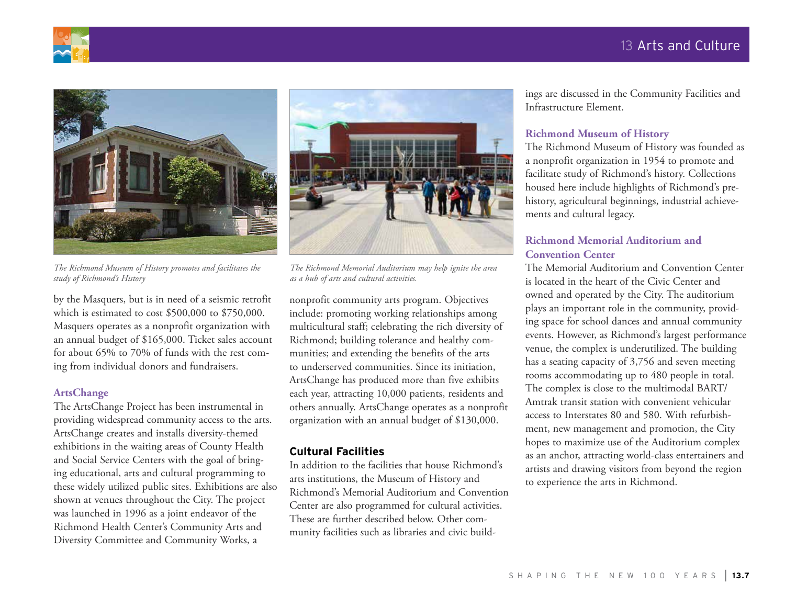



*The Richmond Museum of History promotes and facilitates the study of Richmond's History*

by the Masquers, but is in need of a seismic retrofit which is estimated to cost \$500,000 to \$750,000. Masquers operates as a nonprofit organization with an annual budget of \$165,000. Ticket sales account for about 65% to 70% of funds with the rest coming from individual donors and fundraisers.

#### **ArtsChange**

The ArtsChange Project has been instrumental in providing widespread community access to the arts. ArtsChange creates and installs diversity-themed exhibitions in the waiting areas of County Health and Social Service Centers with the goal of bringing educational, arts and cultural programming to these widely utilized public sites. Exhibitions are also shown at venues throughout the City. The project was launched in 1996 as a joint endeavor of the Richmond Health Center's Community Arts and Diversity Committee and Community Works, a



*The Richmond Memorial Auditorium may help ignite the area as a hub of arts and cultural activities.*

nonprofit community arts program. Objectives include: promoting working relationships among multicultural staff; celebrating the rich diversity of Richmond; building tolerance and healthy communities; and extending the benefits of the arts to underserved communities. Since its initiation, ArtsChange has produced more than five exhibits each year, attracting 10,000 patients, residents and others annually. ArtsChange operates as a nonprofit organization with an annual budget of \$130,000.

#### **Cultural Facilities**

In addition to the facilities that house Richmond's arts institutions, the Museum of History and Richmond's Memorial Auditorium and Convention Center are also programmed for cultural activities. These are further described below. Other community facilities such as libraries and civic buildings are discussed in the Community Facilities and Infrastructure Element.

#### **Richmond Museum of History**

The Richmond Museum of History was founded as a nonprofit organization in 1954 to promote and facilitate study of Richmond's history. Collections housed here include highlights of Richmond's prehistory, agricultural beginnings, industrial achievements and cultural legacy.

#### **Richmond Memorial Auditorium and Convention Center**

The Memorial Auditorium and Convention Center is located in the heart of the Civic Center and owned and operated by the City. The auditorium plays an important role in the community, providing space for school dances and annual community events. However, as Richmond's largest performance venue, the complex is underutilized. The building has a seating capacity of 3,756 and seven meeting rooms accommodating up to 480 people in total. The complex is close to the multimodal BART/ Amtrak transit station with convenient vehicular access to Interstates 80 and 580. With refurbishment, new management and promotion, the City hopes to maximize use of the Auditorium complex as an anchor, attracting world-class entertainers and artists and drawing visitors from beyond the region to experience the arts in Richmond.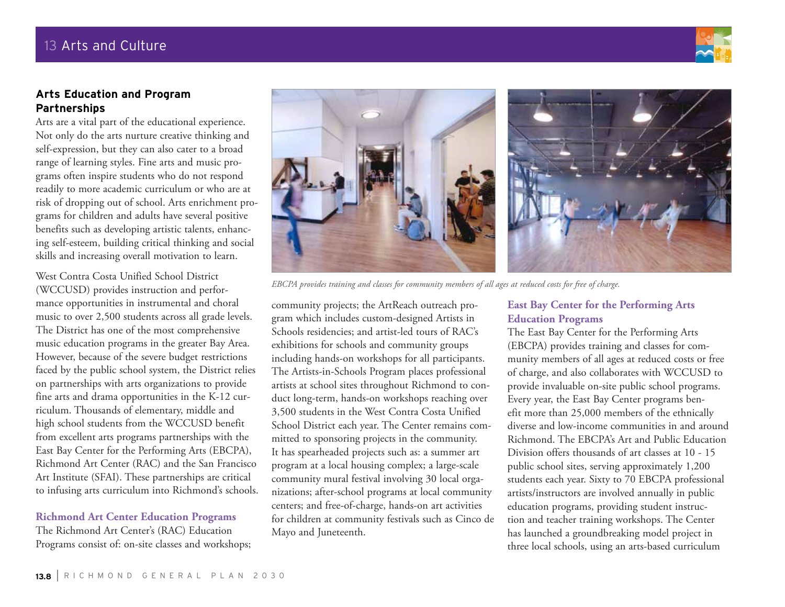

### **Arts Education and Program Partnerships**

Arts are a vital part of the educational experience. Not only do the arts nurture creative thinking and self-expression, but they can also cater to a broad range of learning styles. Fine arts and music programs often inspire students who do not respond readily to more academic curriculum or who are at risk of dropping out of school. Arts enrichment programs for children and adults have several positive benefits such as developing artistic talents, enhancing self-esteem, building critical thinking and social skills and increasing overall motivation to learn.

West Contra Costa Unified School District (WCCUSD) provides instruction and performance opportunities in instrumental and choral music to over 2,500 students across all grade levels. The District has one of the most comprehensive music education programs in the greater Bay Area. However, because of the severe budget restrictions faced by the public school system, the District relies on partnerships with arts organizations to provide fine arts and drama opportunities in the K-12 curriculum. Thousands of elementary, middle and high school students from the WCCUSD benefit from excellent arts programs partnerships with the East Bay Center for the Performing Arts (EBCPA), Richmond Art Center (RAC) and the San Francisco Art Institute (SFAI). These partnerships are critical to infusing arts curriculum into Richmond's schools.

#### **Richmond Art Center Education Programs**

The Richmond Art Center's (RAC) Education Programs consist of: on-site classes and workshops;



*EBCPA provides training and classes for community members of all ages at reduced costs for free of charge.* 

community projects; the ArtReach outreach program which includes custom-designed Artists in Schools residencies; and artist-led tours of RAC's exhibitions for schools and community groups including hands-on workshops for all participants. The Artists-in-Schools Program places professional artists at school sites throughout Richmond to conduct long-term, hands-on workshops reaching over 3,500 students in the West Contra Costa Unified School District each year. The Center remains committed to sponsoring projects in the community. It has spearheaded projects such as: a summer art program at a local housing complex; a large-scale community mural festival involving 30 local organizations; after-school programs at local community centers; and free-of-charge, hands-on art activities for children at community festivals such as Cinco de Mayo and Juneteenth.

### **East Bay Center for the Performing Arts Education Programs**

The East Bay Center for the Performing Arts (EBCPA) provides training and classes for community members of all ages at reduced costs or free of charge, and also collaborates with WCCUSD to provide invaluable on-site public school programs. Every year, the East Bay Center programs benefit more than 25,000 members of the ethnically diverse and low-income communities in and around Richmond. The EBCPA's Art and Public Education Division offers thousands of art classes at 10 - 15 public school sites, serving approximately 1,200 students each year. Sixty to 70 EBCPA professional artists/instructors are involved annually in public education programs, providing student instruction and teacher training workshops. The Center has launched a groundbreaking model project in three local schools, using an arts-based curriculum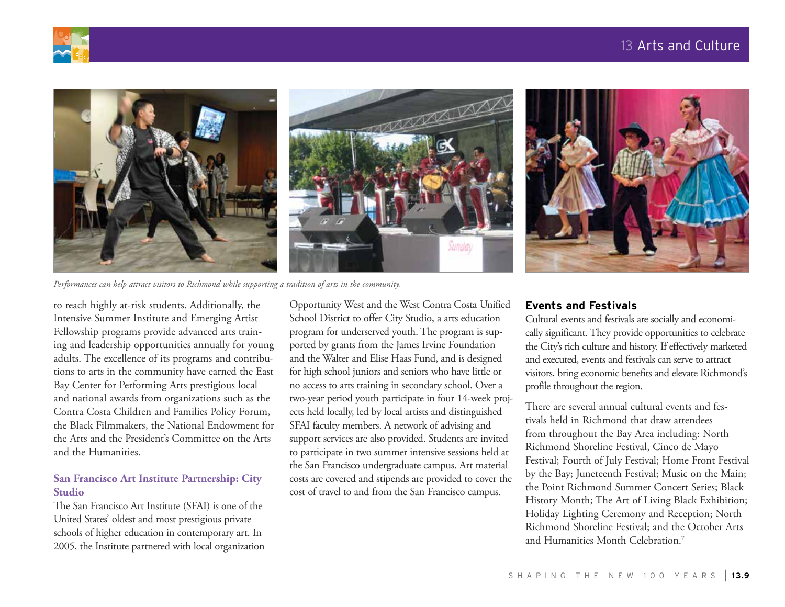



*Performances can help attract visitors to Richmond while supporting a tradition of arts in the community.*

to reach highly at-risk students. Additionally, the Intensive Summer Institute and Emerging Artist Fellowship programs provide advanced arts training and leadership opportunities annually for young adults. The excellence of its programs and contributions to arts in the community have earned the East Bay Center for Performing Arts prestigious local and national awards from organizations such as the Contra Costa Children and Families Policy Forum, the Black Filmmakers, the National Endowment for the Arts and the President's Committee on the Arts and the Humanities.

#### **San Francisco Art Institute Partnership: City Studio**

The San Francisco Art Institute (SFAI) is one of the United States' oldest and most prestigious private schools of higher education in contemporary art. In 2005, the Institute partnered with local organization Opportunity West and the West Contra Costa Unified School District to offer City Studio, a arts education program for underserved youth. The program is supported by grants from the James Irvine Foundation and the Walter and Elise Haas Fund, and is designed for high school juniors and seniors who have little or no access to arts training in secondary school. Over a two-year period youth participate in four 14-week projects held locally, led by local artists and distinguished SFAI faculty members. A network of advising and support services are also provided. Students are invited to participate in two summer intensive sessions held at the San Francisco undergraduate campus. Art material costs are covered and stipends are provided to cover the cost of travel to and from the San Francisco campus.

#### **Events and Festivals**

Cultural events and festivals are socially and economically significant. They provide opportunities to celebrate the City's rich culture and history. If effectively marketed and executed, events and festivals can serve to attract visitors, bring economic benefits and elevate Richmond's profile throughout the region.

There are several annual cultural events and festivals held in Richmond that draw attendees from throughout the Bay Area including: North Richmond Shoreline Festival, Cinco de Mayo Festival; Fourth of July Festival; Home Front Festival by the Bay; Juneteenth Festival; Music on the Main; the Point Richmond Summer Concert Series; Black History Month; The Art of Living Black Exhibition; Holiday Lighting Ceremony and Reception; North Richmond Shoreline Festival; and the October Arts and Humanities Month Celebration.7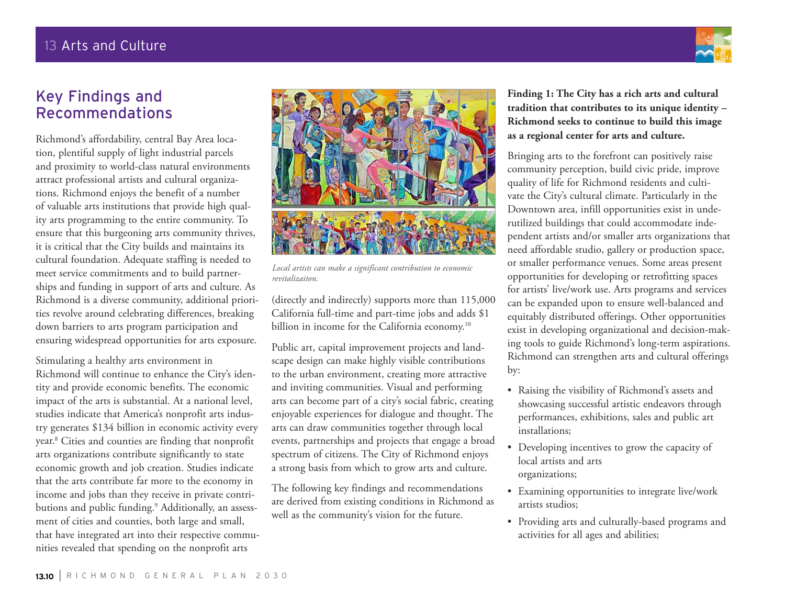

## Key Findings and Recommendations

Richmond's affordability, central Bay Area location, plentiful supply of light industrial parcels and proximity to world-class natural environments attract professional artists and cultural organizations. Richmond enjoys the benefit of a number of valuable arts institutions that provide high quality arts programming to the entire community. To ensure that this burgeoning arts community thrives, it is critical that the City builds and maintains its cultural foundation. Adequate staffing is needed to meet service commitments and to build partnerships and funding in support of arts and culture. As Richmond is a diverse community, additional priorities revolve around celebrating differences, breaking down barriers to arts program participation and ensuring widespread opportunities for arts exposure.

Stimulating a healthy arts environment in Richmond will continue to enhance the City's identity and provide economic benefits. The economic impact of the arts is substantial. At a national level, studies indicate that America's nonprofit arts industry generates \$134 billion in economic activity every year.8 Cities and counties are finding that nonprofit arts organizations contribute significantly to state economic growth and job creation. Studies indicate that the arts contribute far more to the economy in income and jobs than they receive in private contributions and public funding.9 Additionally, an assessment of cities and counties, both large and small, that have integrated art into their respective communities revealed that spending on the nonprofit arts



*Local artists can make a significant contribution to economic revitalizaiton.*

(directly and indirectly) supports more than 115,000 California full-time and part-time jobs and adds \$1 billion in income for the California economy.<sup>10</sup>

Public art, capital improvement projects and landscape design can make highly visible contributions to the urban environment, creating more attractive and inviting communities. Visual and performing arts can become part of a city's social fabric, creating enjoyable experiences for dialogue and thought. The arts can draw communities together through local events, partnerships and projects that engage a broad spectrum of citizens. The City of Richmond enjoys a strong basis from which to grow arts and culture.

The following key findings and recommendations are derived from existing conditions in Richmond as well as the community's vision for the future.

**Finding 1: The City has a rich arts and cultural tradition that contributes to its unique identity – Richmond seeks to continue to build this image as a regional center for arts and culture.** 

Bringing arts to the forefront can positively raise community perception, build civic pride, improve quality of life for Richmond residents and cultivate the City's cultural climate. Particularly in the Downtown area, infill opportunities exist in underutilized buildings that could accommodate independent artists and/or smaller arts organizations that need affordable studio, gallery or production space, or smaller performance venues. Some areas present opportunities for developing or retrofitting spaces for artists' live/work use. Arts programs and services can be expanded upon to ensure well-balanced and equitably distributed offerings. Other opportunities exist in developing organizational and decision-making tools to guide Richmond's long-term aspirations. Richmond can strengthen arts and cultural offerings by:

- • Raising the visibility of Richmond's assets and showcasing successful artistic endeavors through performances, exhibitions, sales and public art installations;
- • Developing incentives to grow the capacity of local artists and arts organizations;
- • Examining opportunities to integrate live/work artists studios;
- • Providing arts and culturally-based programs and activities for all ages and abilities;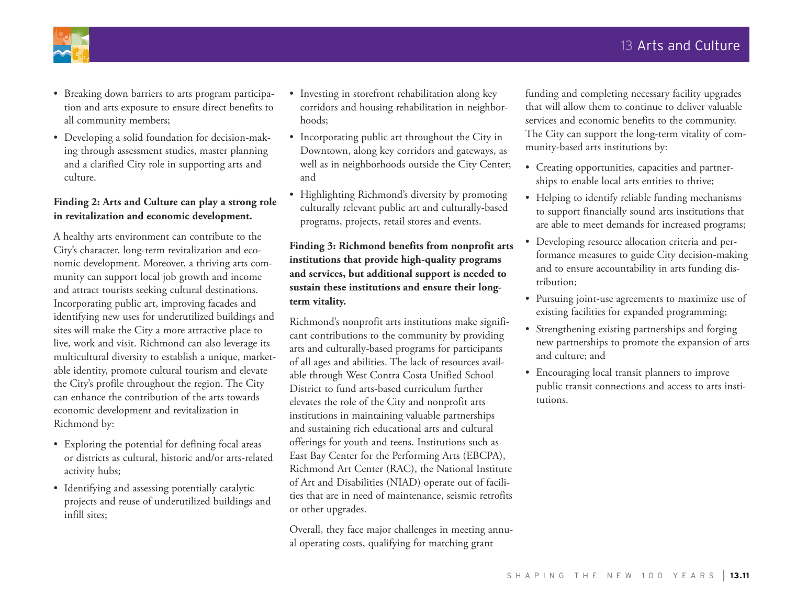

- • Breaking down barriers to arts program participation and arts exposure to ensure direct benefits to all community members;
- Developing a solid foundation for decision-making through assessment studies, master planning and a clarified City role in supporting arts and culture.

### **Finding 2: Arts and Culture can play a strong role in revitalization and economic development.**

A healthy arts environment can contribute to the City's character, long-term revitalization and economic development. Moreover, a thriving arts community can support local job growth and income and attract tourists seeking cultural destinations. Incorporating public art, improving facades and identifying new uses for underutilized buildings and sites will make the City a more attractive place to live, work and visit. Richmond can also leverage its multicultural diversity to establish a unique, marketable identity, promote cultural tourism and elevate the City's profile throughout the region. The City can enhance the contribution of the arts towards economic development and revitalization in Richmond by:

- Exploring the potential for defining focal areas or districts as cultural, historic and/or arts-related activity hubs;
- Identifying and assessing potentially catalytic projects and reuse of underutilized buildings and infill sites;
- Investing in storefront rehabilitation along key corridors and housing rehabilitation in neighborhoods;
- Incorporating public art throughout the City in Downtown, along key corridors and gateways, as well as in neighborhoods outside the City Center; and
- Highlighting Richmond's diversity by promoting culturally relevant public art and culturally-based programs, projects, retail stores and events.

### **Finding 3: Richmond benefits from nonprofit arts institutions that provide high-quality programs and services, but additional support is needed to sustain these institutions and ensure their longterm vitality.**

Richmond's nonprofit arts institutions make significant contributions to the community by providing arts and culturally-based programs for participants of all ages and abilities. The lack of resources available through West Contra Costa Unified School District to fund arts-based curriculum further elevates the role of the City and nonprofit arts institutions in maintaining valuable partnerships and sustaining rich educational arts and cultural offerings for youth and teens. Institutions such as East Bay Center for the Performing Arts (EBCPA), Richmond Art Center (RAC), the National Institute of Art and Disabilities (NIAD) operate out of facilities that are in need of maintenance, seismic retrofits or other upgrades.

Overall, they face major challenges in meeting annual operating costs, qualifying for matching grant

funding and completing necessary facility upgrades that will allow them to continue to deliver valuable services and economic benefits to the community. The City can support the long-term vitality of community-based arts institutions by:

- • Creating opportunities, capacities and partnerships to enable local arts entities to thrive;
- Helping to identify reliable funding mechanisms to support financially sound arts institutions that are able to meet demands for increased programs;
- • Developing resource allocation criteria and performance measures to guide City decision-making and to ensure accountability in arts funding distribution;
- • Pursuing joint-use agreements to maximize use of existing facilities for expanded programming;
- Strengthening existing partnerships and forging new partnerships to promote the expansion of arts and culture; and
- • Encouraging local transit planners to improve public transit connections and access to arts institutions.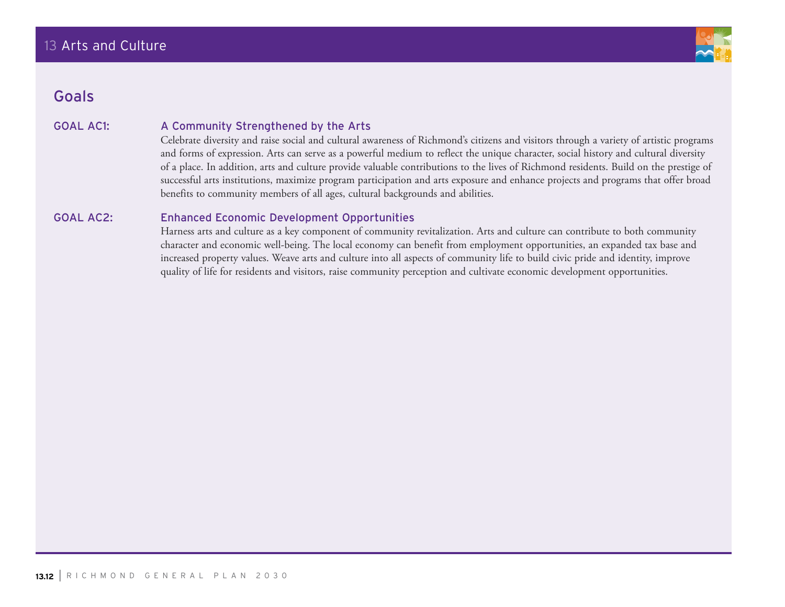

## Goals

### GOAL AC1: A Community Strengthened by the Arts

Celebrate diversity and raise social and cultural awareness of Richmond's citizens and visitors through a variety of artistic programs and forms of expression. Arts can serve as a powerful medium to reflect the unique character, social history and cultural diversity of a place. In addition, arts and culture provide valuable contributions to the lives of Richmond residents. Build on the prestige of successful arts institutions, maximize program participation and arts exposure and enhance projects and programs that offer broad benefits to community members of all ages, cultural backgrounds and abilities.

### GOAL AC2: Enhanced Economic Development Opportunities

Harness arts and culture as a key component of community revitalization. Arts and culture can contribute to both community character and economic well-being. The local economy can benefit from employment opportunities, an expanded tax base and increased property values. Weave arts and culture into all aspects of community life to build civic pride and identity, improve quality of life for residents and visitors, raise community perception and cultivate economic development opportunities.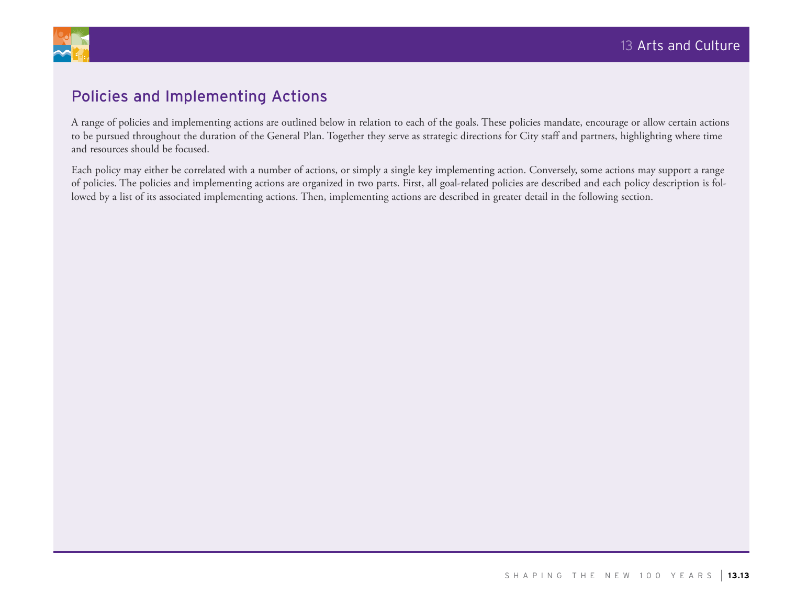

## Policies and Implementing Actions

A range of policies and implementing actions are outlined below in relation to each of the goals. These policies mandate, encourage or allow certain actions to be pursued throughout the duration of the General Plan. Together they serve as strategic directions for City staff and partners, highlighting where time and resources should be focused.

Each policy may either be correlated with a number of actions, or simply a single key implementing action. Conversely, some actions may support a range of policies. The policies and implementing actions are organized in two parts. First, all goal-related policies are described and each policy description is followed by a list of its associated implementing actions. Then, implementing actions are described in greater detail in the following section.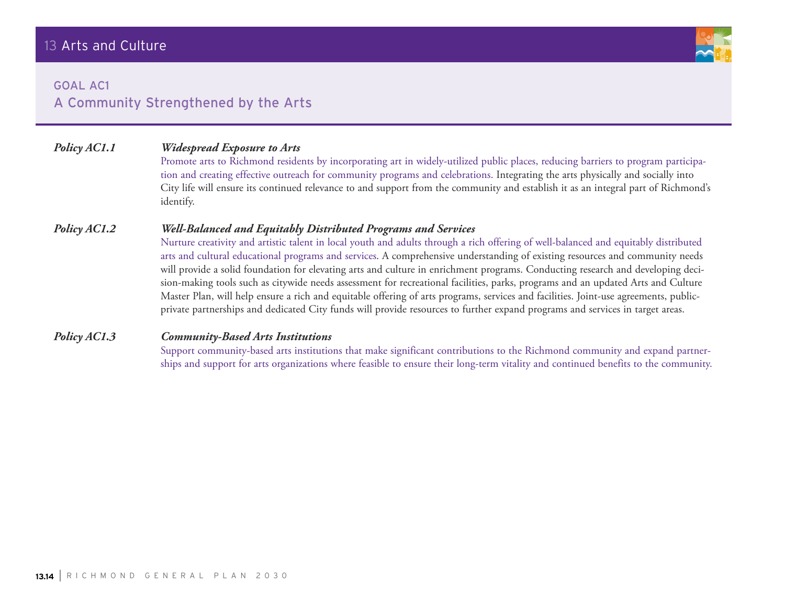

## GOAL AC1 A Community Strengthened by the Arts

### *Policy AC1.1 Widespread Exposure to Arts*

Promote arts to Richmond residents by incorporating art in widely-utilized public places, reducing barriers to program participation and creating effective outreach for community programs and celebrations. Integrating the arts physically and socially into City life will ensure its continued relevance to and support from the community and establish it as an integral part of Richmond's identify.

#### *Policy AC1.2 Well-Balanced and Equitably Distributed Programs and Services*

Nurture creativity and artistic talent in local youth and adults through a rich offering of well-balanced and equitably distributed arts and cultural educational programs and services. A comprehensive understanding of existing resources and community needs will provide a solid foundation for elevating arts and culture in enrichment programs. Conducting research and developing decision-making tools such as citywide needs assessment for recreational facilities, parks, programs and an updated Arts and Culture Master Plan, will help ensure a rich and equitable offering of arts programs, services and facilities. Joint-use agreements, publicprivate partnerships and dedicated City funds will provide resources to further expand programs and services in target areas.

#### *Policy AC1.3 Community-Based Arts Institutions*

Support community-based arts institutions that make significant contributions to the Richmond community and expand partnerships and support for arts organizations where feasible to ensure their long-term vitality and continued benefits to the community.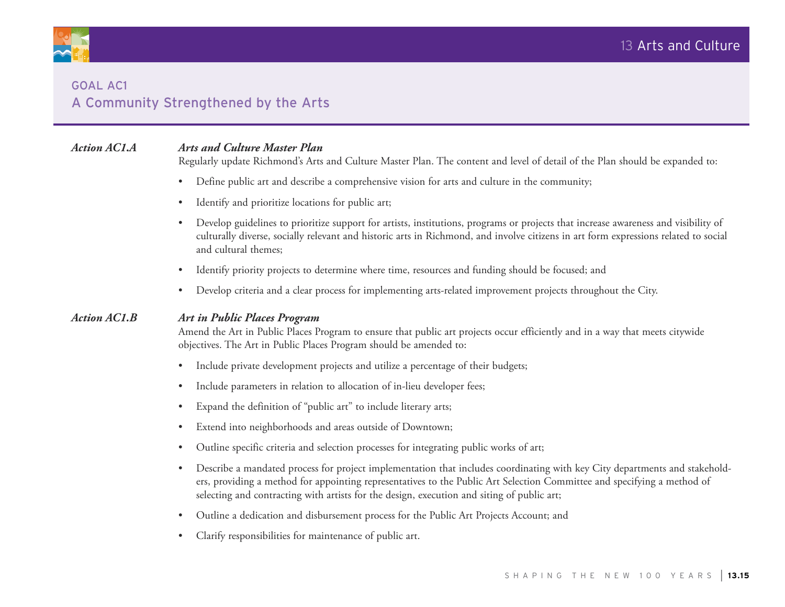

## GOAL AC1 A Community Strengthened by the Arts

### *Action AC1.A Arts and Culture Master Plan*

Regularly update Richmond's Arts and Culture Master Plan. The content and level of detail of the Plan should be expanded to:

- • Define public art and describe a comprehensive vision for arts and culture in the community;
- Identify and prioritize locations for public art;
- Develop guidelines to prioritize support for artists, institutions, programs or projects that increase awareness and visibility of culturally diverse, socially relevant and historic arts in Richmond, and involve citizens in art form expressions related to social and cultural themes;
- Identify priority projects to determine where time, resources and funding should be focused; and
- • Develop criteria and a clear process for implementing arts-related improvement projects throughout the City.

#### *Action AC1.B Art in Public Places Program*

Amend the Art in Public Places Program to ensure that public art projects occur efficiently and in a way that meets citywide objectives. The Art in Public Places Program should be amended to:

- Include private development projects and utilize a percentage of their budgets;
- Include parameters in relation to allocation of in-lieu developer fees;
- Expand the definition of "public art" to include literary arts;
- • Extend into neighborhoods and areas outside of Downtown;
- Outline specific criteria and selection processes for integrating public works of art;
- Describe a mandated process for project implementation that includes coordinating with key City departments and stakeholders, providing a method for appointing representatives to the Public Art Selection Committee and specifying a method of selecting and contracting with artists for the design, execution and siting of public art;
- • Outline a dedication and disbursement process for the Public Art Projects Account; and
- Clarify responsibilities for maintenance of public art.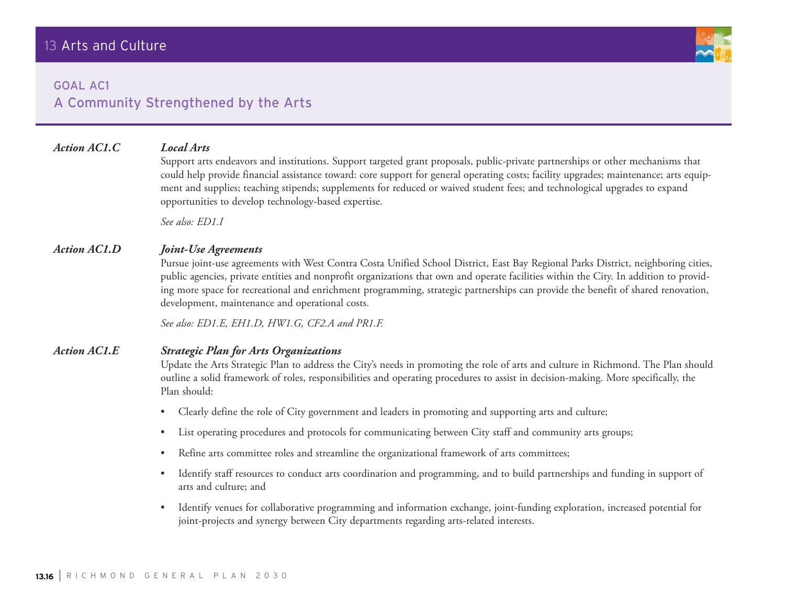

## GOAL AC1 A Community Strengthened by the Arts

### *Action AC1.C Local Arts*

Support arts endeavors and institutions. Support targeted grant proposals, public-private partnerships or other mechanisms that could help provide financial assistance toward: core support for general operating costs; facility upgrades; maintenance; arts equipment and supplies; teaching stipends; supplements for reduced or waived student fees; and technological upgrades to expand opportunities to develop technology-based expertise.

*See also: ED1.I*

#### *Action AC1.D Joint-Use Agreements*

Pursue joint-use agreements with West Contra Costa Unified School District, East Bay Regional Parks District, neighboring cities, public agencies, private entities and nonprofit organizations that own and operate facilities within the City. In addition to providing more space for recreational and enrichment programming, strategic partnerships can provide the benefit of shared renovation, development, maintenance and operational costs.

*See also: ED1.E, EH1.D, HW1.G, CF2.A and PR1.F.*

#### *Action AC1.E Strategic Plan for Arts Organizations*

Update the Arts Strategic Plan to address the City's needs in promoting the role of arts and culture in Richmond. The Plan should outline a solid framework of roles, responsibilities and operating procedures to assist in decision-making. More specifically, the Plan should:

- Clearly define the role of City government and leaders in promoting and supporting arts and culture;
- List operating procedures and protocols for communicating between City staff and community arts groups;
- Refine arts committee roles and streamline the organizational framework of arts committees;
- • Identify staff resources to conduct arts coordination and programming, and to build partnerships and funding in support of arts and culture; and
- • Identify venues for collaborative programming and information exchange, joint-funding exploration, increased potential for joint-projects and synergy between City departments regarding arts-related interests.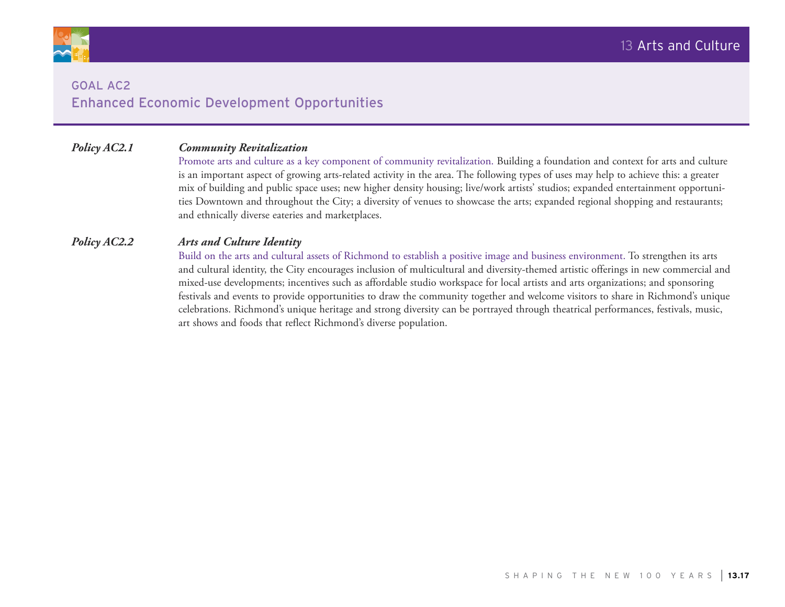

## GOAL AC2 Enhanced Economic Development Opportunities

### *Policy AC2.1 Community Revitalization*

Promote arts and culture as a key component of community revitalization. Building a foundation and context for arts and culture is an important aspect of growing arts-related activity in the area. The following types of uses may help to achieve this: a greater mix of building and public space uses; new higher density housing; live/work artists' studios; expanded entertainment opportunities Downtown and throughout the City; a diversity of venues to showcase the arts; expanded regional shopping and restaurants; and ethnically diverse eateries and marketplaces.

#### *Policy AC2.2 Arts and Culture Identity*

Build on the arts and cultural assets of Richmond to establish a positive image and business environment. To strengthen its arts and cultural identity, the City encourages inclusion of multicultural and diversity-themed artistic offerings in new commercial and mixed-use developments; incentives such as affordable studio workspace for local artists and arts organizations; and sponsoring festivals and events to provide opportunities to draw the community together and welcome visitors to share in Richmond's unique celebrations. Richmond's unique heritage and strong diversity can be portrayed through theatrical performances, festivals, music, art shows and foods that reflect Richmond's diverse population.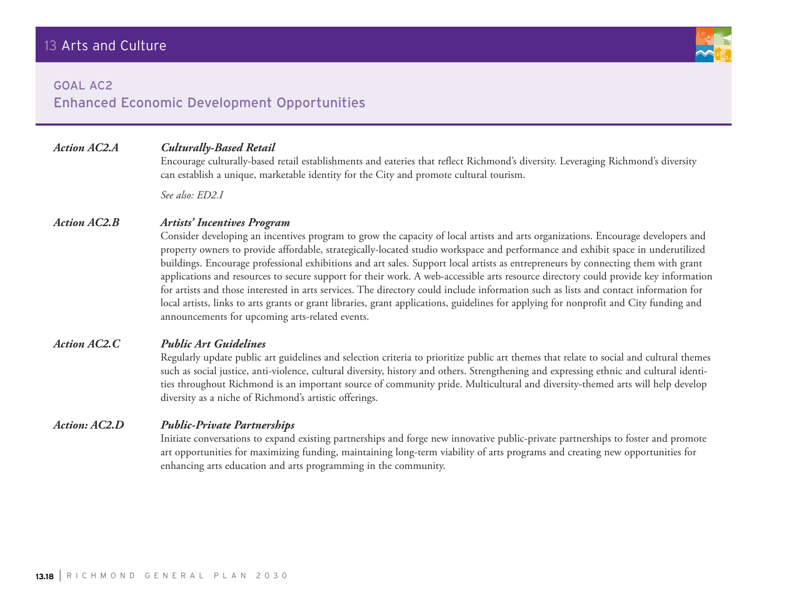#### GOAL AC2

## Enhanced Economic Development Opportunities

## *Action AC2.A Culturally-Based Retail*

Encourage culturally-based retail establishments and eateries that reflect Richmond's diversity. Leveraging Richmond's diversity

can establish a unique, marketable identity for the City and promote cultural tourism.

*See also: ED2.I*

#### *Action AC2.B Artists' Incentives Program*

Consider developing an incentives program to grow the capacity of local artists and arts organizations. Encourage developers and property owners to provide affordable, strategically-located studio workspace and performance and exhibit space in underutilized buildings. Encourage professional exhibitions and art sales. Support local artists as entrepreneurs by connecting them with grant applications and resources to secure support for their work. A web-accessible arts resource directory could provide key information for artists and those interested in arts services. The directory could include information such as lists and contact information for local artists, links to arts grants or grant libraries, grant applications, guidelines for applying for nonprofit and City funding and announcements for upcoming arts-related events.

#### *Action AC2.C Public Art Guidelines*

Regularly update public art guidelines and selection criteria to prioritize public art themes that relate to social and cultural themes such as social justice, anti-violence, cultural diversity, history and others. Strengthening and expressing ethnic and cultural identities throughout Richmond is an important source of community pride. Multicultural and diversity-themed arts will help develop diversity as a niche of Richmond's artistic offerings.

#### *Action: AC2.D Public-Private Partnerships*

Initiate conversations to expand existing partnerships and forge new innovative public-private partnerships to foster and promote art opportunities for maximizing funding, maintaining long-term viability of arts programs and creating new opportunities for enhancing arts education and arts programming in the community.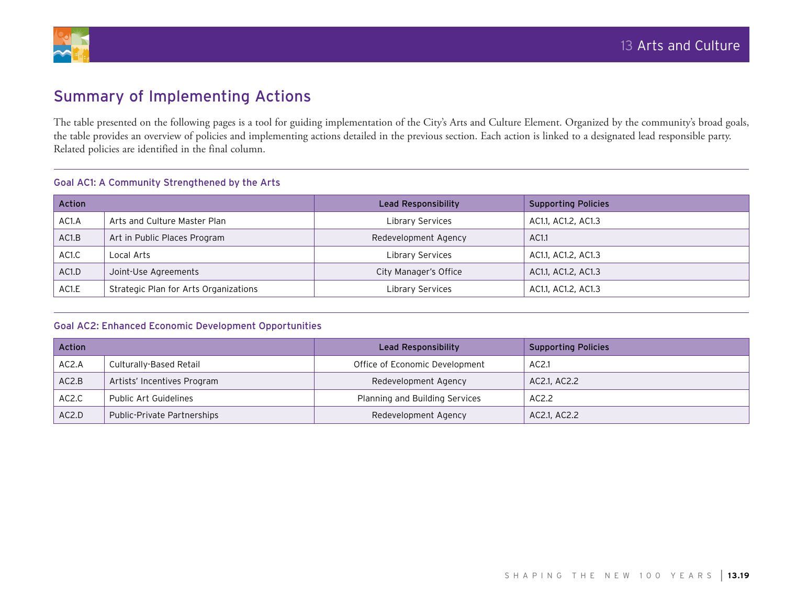



## Summary of Implementing Actions

The table presented on the following pages is a tool for guiding implementation of the City's Arts and Culture Element. Organized by the community's broad goals, the table provides an overview of policies and implementing actions detailed in the previous section. Each action is linked to a designated lead responsible party. Related policies are identified in the final column.

#### Goal AC1: A Community Strengthened by the Arts

| <b>Action</b>      |                                       | Lead Responsibility     | <b>Supporting Policies</b> |
|--------------------|---------------------------------------|-------------------------|----------------------------|
| AC1.A              | Arts and Culture Master Plan          | Library Services        | AC1.1, AC1.2, AC1.3        |
| AC1.B              | Art in Public Places Program          | Redevelopment Agency    | AC1.1                      |
| AC <sub>1</sub> .C | Local Arts                            | <b>Library Services</b> | AC1.1, AC1.2, AC1.3        |
| AC1.D              | Joint-Use Agreements                  | City Manager's Office   | AC1.1, AC1.2, AC1.3        |
| AC1.E              | Strategic Plan for Arts Organizations | Library Services        | AC1.1, AC1.2, AC1.3        |

#### Goal AC2: Enhanced Economic Development Opportunities

| Action |                             | Lead Responsibility            | <b>Supporting Policies</b> |
|--------|-----------------------------|--------------------------------|----------------------------|
| AC2.A  | Culturally-Based Retail     | Office of Economic Development | AC2.1                      |
| AC2.B  | Artists' Incentives Program | Redevelopment Agency           | AC2.1, AC2.2               |
| AC2.C  | Public Art Guidelines       | Planning and Building Services | AC2.2                      |
| AC2.D  | Public-Private Partnerships | Redevelopment Agency           | AC2.1, AC2.2               |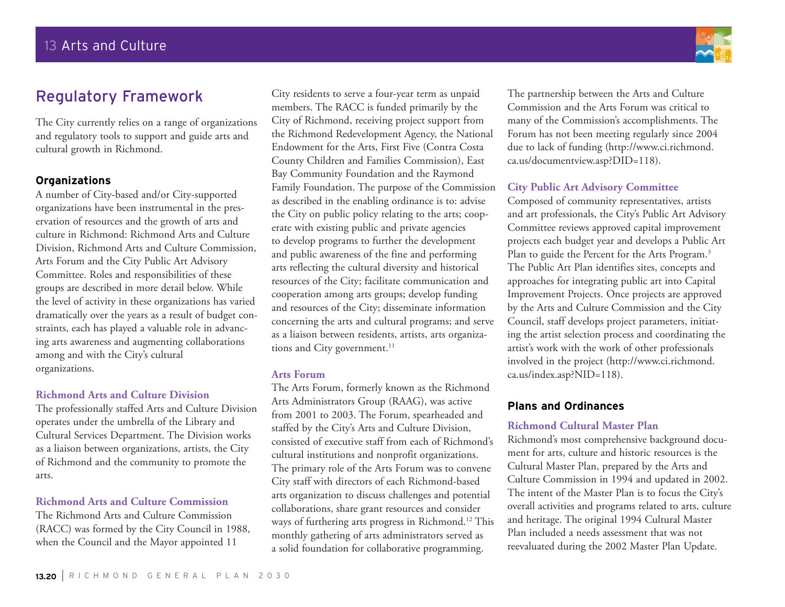## Regulatory Framework

The City currently relies on a range of organizations and regulatory tools to support and guide arts and cultural growth in Richmond.

#### **Organizations**

A number of City-based and/or City-supported organizations have been instrumental in the preservation of resources and the growth of arts and culture in Richmond: Richmond Arts and Culture Division, Richmond Arts and Culture Commission, Arts Forum and the City Public Art Advisory Committee. Roles and responsibilities of these groups are described in more detail below. While the level of activity in these organizations has varied dramatically over the years as a result of budget constraints, each has played a valuable role in advancing arts awareness and augmenting collaborations among and with the City's cultural organizations.

#### **Richmond Arts and Culture Division**

The professionally staffed Arts and Culture Division operates under the umbrella of the Library and Cultural Services Department. The Division works as a liaison between organizations, artists, the City of Richmond and the community to promote the arts.

#### **Richmond Arts and Culture Commission**

The Richmond Arts and Culture Commission (RACC) was formed by the City Council in 1988, when the Council and the Mayor appointed 11

City residents to serve a four-year term as unpaid members. The RACC is funded primarily by the City of Richmond, receiving project support from the Richmond Redevelopment Agency, the National Endowment for the Arts, First Five (Contra Costa County Children and Families Commission), East Bay Community Foundation and the Raymond Family Foundation. The purpose of the Commission as described in the enabling ordinance is to: advise the City on public policy relating to the arts; cooperate with existing public and private agencies to develop programs to further the development and public awareness of the fine and performing arts reflecting the cultural diversity and historical resources of the City; facilitate communication and cooperation among arts groups; develop funding and resources of the City; disseminate information concerning the arts and cultural programs; and serve as a liaison between residents, artists, arts organizations and City government.<sup>11</sup>

#### **Arts Forum**

The Arts Forum, formerly known as the Richmond Arts Administrators Group (RAAG), was active from 2001 to 2003. The Forum, spearheaded and staffed by the City's Arts and Culture Division, consisted of executive staff from each of Richmond's cultural institutions and nonprofit organizations. The primary role of the Arts Forum was to convene City staff with directors of each Richmond-based arts organization to discuss challenges and potential collaborations, share grant resources and consider ways of furthering arts progress in Richmond.<sup>12</sup> This monthly gathering of arts administrators served as a solid foundation for collaborative programming.

The partnership between the Arts and Culture Commission and the Arts Forum was critical to many of the Commission's accomplishments. The Forum has not been meeting regularly since 2004 due to lack of funding (http://www.ci.richmond. ca.us/documentview.asp?DID=118).

### **City Public Art Advisory Committee**

Composed of community representatives, artists and art professionals, the City's Public Art Advisory Committee reviews approved capital improvement projects each budget year and develops a Public Art Plan to guide the Percent for the Arts Program.<sup>3</sup> The Public Art Plan identifies sites, concepts and approaches for integrating public art into Capital Improvement Projects. Once projects are approved by the Arts and Culture Commission and the City Council, staff develops project parameters, initiating the artist selection process and coordinating the artist's work with the work of other professionals involved in the project (http://www.ci.richmond. ca.us/index.asp?NID=118).

### **Plans and Ordinances**

#### **Richmond Cultural Master Plan**

Richmond's most comprehensive background document for arts, culture and historic resources is the Cultural Master Plan, prepared by the Arts and Culture Commission in 1994 and updated in 2002. The intent of the Master Plan is to focus the City's overall activities and programs related to arts, culture and heritage. The original 1994 Cultural Master Plan included a needs assessment that was not reevaluated during the 2002 Master Plan Update.

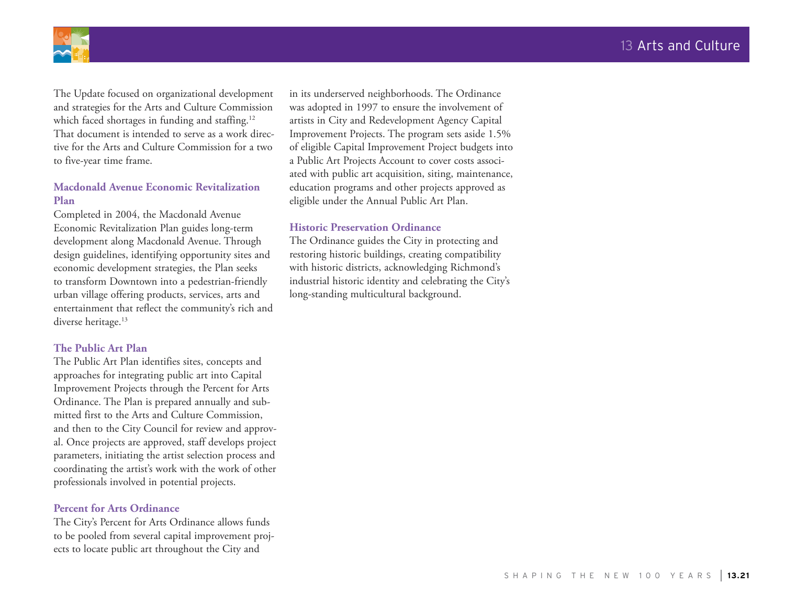

The Update focused on organizational development and strategies for the Arts and Culture Commission which faced shortages in funding and staffing.<sup>12</sup> That document is intended to serve as a work directive for the Arts and Culture Commission for a two to five-year time frame.

#### **Macdonald Avenue Economic Revitalization Plan**

Completed in 2004, the Macdonald Avenue Economic Revitalization Plan guides long-term development along Macdonald Avenue. Through design guidelines, identifying opportunity sites and economic development strategies, the Plan seeks to transform Downtown into a pedestrian-friendly urban village offering products, services, arts and entertainment that reflect the community's rich and diverse heritage.<sup>13</sup>

#### **The Public Art Plan**

The Public Art Plan identifies sites, concepts and approaches for integrating public art into Capital Improvement Projects through the Percent for Arts Ordinance. The Plan is prepared annually and submitted first to the Arts and Culture Commission, and then to the City Council for review and approval. Once projects are approved, staff develops project parameters, initiating the artist selection process and coordinating the artist's work with the work of other professionals involved in potential projects.

#### **Percent for Arts Ordinance**

The City's Percent for Arts Ordinance allows funds to be pooled from several capital improvement projects to locate public art throughout the City and

in its underserved neighborhoods. The Ordinance was adopted in 1997 to ensure the involvement of artists in City and Redevelopment Agency Capital Improvement Projects. The program sets aside 1.5% of eligible Capital Improvement Project budgets into a Public Art Projects Account to cover costs associated with public art acquisition, siting, maintenance, education programs and other projects approved as eligible under the Annual Public Art Plan.

#### **Historic Preservation Ordinance**

The Ordinance guides the City in protecting and restoring historic buildings, creating compatibility with historic districts, acknowledging Richmond's industrial historic identity and celebrating the City's long-standing multicultural background.